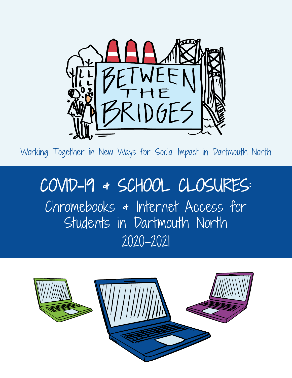

Working Together in New Ways for Social Impact in Dartmouth North

# COVID-19 & SCHOOL CLOSURES: Chromebooks & Internet Access for Students in Dartmouth North 2020-2021

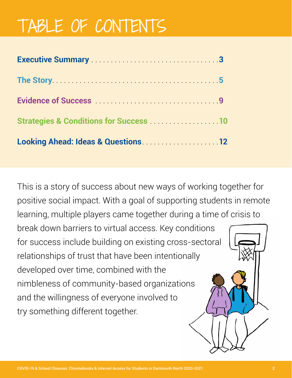# TABLE OF CONTENTS

| Executive Summary Marshall Allen and Marshall Marshall Marshall 3                                          |  |
|------------------------------------------------------------------------------------------------------------|--|
|                                                                                                            |  |
|                                                                                                            |  |
| <b>Strategies &amp; Conditions for Success Manual 10 Strategies &amp; Conditions for Success Manual 10</b> |  |
| Looking Ahead: Ideas & Questions  12                                                                       |  |

This is a story of success about new ways of working together for positive social impact. With a goal of supporting students in remote learning, multiple players came together during a time of crisis to break down barriers to virtual access. Key conditions for success include building on existing cross-sectoral relationships of trust that have been intentionally developed over time, combined with the nimbleness of community-based organizations and the willingness of everyone involved to try something different together.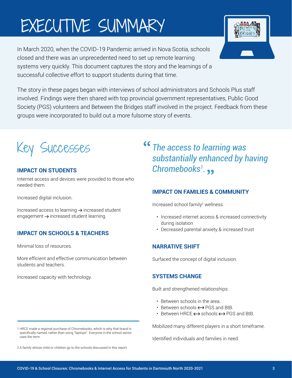# <span id="page-2-0"></span>EXECUTIVE SUMMARY

In March 2020, when the COVID-19 Pandemic arrived in Nova Scotia, schools closed and there was an unprecedented need to set up remote learning systems very quickly. This document captures the story and the learnings of a successful collective effort to support students during that time.



The story in these pages began with interviews of school administrators and Schools Plus staff involved. Findings were then shared with top provincial government representatives, Public Good Society (PGS) volunteers and Between the Bridges staff involved in the project. Feedback from these groups were incorporated to build out a more fulsome story of events.



# **IMPACT ON STUDENTS**

Internet access and devices were provided to those who needed them.

Increased digital inclusion.

Increased access to learning  $\rightarrow$  increased student engagement  $\rightarrow$  increased student learning.

# **IMPACT ON SCHOOLS & TEACHERS**

Minimal loss of resources.

More efficient and effective communication between students and teachers.

Increased capacity with technology.

*The access to learning was substantially enhanced by having Chromebooks1 .*

# **IMPACT ON FAMILIES & COMMUNITY**

Increased school family<sup>2</sup> wellness.

- Increased internet access & increased connectivity during isolation
- Decreased parental anxiety & increased trust

# **NARRATIVE SHIFT**

Surfaced the concept of digital inclusion.

#### **SYSTEMS CHANGE**

Built and strengthened relationships:

- Between schools in the area.
- Between schools  $\leftrightarrow$  PGS and BtB.
- Between HRCF  $\leftrightarrow$  schools  $\leftrightarrow$  PGS and BtB.

Mobilized many different players in a short timeframe.

Identified individuals and families in need.

1 HRCE made a regional purchase of Chromebooks, which is why that brand is specifically named, rather than using "laptops". Everyone in the school sector uses the term.

<sup>2</sup> A family whose child or children go to the schools discussed in this report.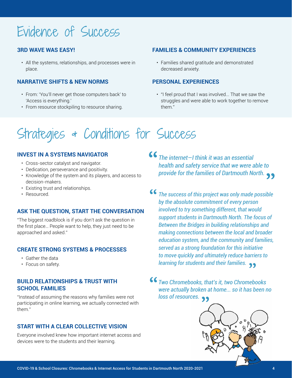# Evidence of Success

## **3RD WAVE WAS EASY!**

• All the systems, relationships, and processes were in place.

#### **NARRATIVE SHIFTS & NEW NORMS**

- From: 'You'll never get those computers back' to 'Access is everything.'
- From resource stockpiling to resource sharing.

### **FAMILIES & COMMUNITY EXPERIENCES**

• Families shared gratitude and demonstrated decreased anxiety.

#### **PERSONAL EXPERIENCES**

• "I feel proud that I was involved... That we saw the struggles and were able to work together to remove them."

# Strategies & Conditions for Success

#### **INVEST IN A SYSTEMS NAVIGATOR**

- Cross-sector catalyst and navigator.
- Dedication, perseverance and positivity.
- Knowledge of the system and its players, and access to decision-makers.
- Existing trust and relationships.
- Resourced.

#### **ASK THE QUESTION, START THE CONVERSATION**

"The biggest roadblock is if you don't ask the question in the first place… People want to help, they just need to be approached and asked."

#### **CREATE STRONG SYSTEMS & PROCESSES**

- Gather the data
- Focus on safety.

#### **BUILD RELATIONSHIPS & TRUST WITH SCHOOL FAMILIES**

"Instead of assuming the reasons why families were not participating in online learning, we actually connected with them."

#### **START WITH A CLEAR COLLECTIVE VISION**

Everyone involved knew how important internet access and devices were to the students and their learning.

*The internet—I think it was an essential health and safety service that we were able to provide for the families of Dartmouth North.*

- $66$ *The success of this project was only made possible by the absolute commitment of every person involved to try something different, that would support students in Dartmouth North. The focus of Between the Bridges in building relationships and making connections between the local and broader education system, and the community and families, served as a strong foundation for this initiative to move quickly and ultimately reduce barriers to learning for students and their families.*
- *Two Chromebooks, that's it, two Chromebooks were actually broken at home... so it has been no loss of resources.*

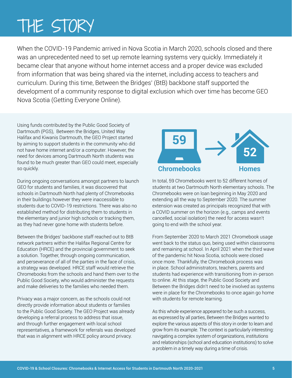# <span id="page-4-0"></span>THE STORY

When the COVID-19 Pandemic arrived in Nova Scotia in March 2020, schools closed and there was an unprecedented need to set up remote learning systems very quickly. Immediately it became clear that anyone without home internet access and a proper device was excluded from information that was being shared via the internet, including access to teachers and curriculum. During this time, Between the Bridges' (BtB) backbone staff supported the development of a community response to digital exclusion which over time has become GEO Nova Scotia (Getting Everyone Online).

Using funds contributed by the Public Good Society of Dartmouth (PGS), Between the Bridges, United Way Halifax and Kiwanis Dartmouth, the GEO Project started by aiming to support students in the community who did not have home internet and/or a computer. However, the need for devices among Dartmouth North students was found to be much greater than GEO could meet, especially so quickly.

During ongoing conversations amongst partners to launch GEO for students and families, it was discovered that schools in Dartmouth North had plenty of Chromebooks in their buildings however they were inaccessible to students due to COVID-19 restrictions. There was also no established method for distributing them to students in the elementary and junior high schools or tracking them, as they had never gone home with students before.

Between the Bridges' backbone staff reached out to BtB network partners within the Halifax Regional Centre for Education (HRCE) and the provincial government to seek a solution. Together, through ongoing communication, and perseverance of all of the parties in the face of crisis, a strategy was developed. HRCE staff would retrieve the Chromebooks from the schools and hand them over to the Public Good Society, who would administer the requests and make deliveries to the families who needed them.

Privacy was a major concern, as the schools could not directly provide information about students or families to the Public Good Society. The GEO Project was already developing a referral process to address that issue, and through further engagement with local school representatives, a framework for referrals was developed that was in alignment with HRCE policy around privacy.



In total, 59 Chromebooks went to 52 different homes of students at two Dartmouth North elementary schools. The Chromebooks were on loan beginning in May 2020 and extending all the way to September 2020. The summer extension was created as principals recognized that with a COVID summer on the horizon (e.g., camps and events cancelled, social isolation) the need for access wasn't going to end with the school year.

From September 2020 to March 2021 Chromebook usage went back to the status quo, being used within classrooms and remaining at school. In April 2021 when the third wave of the pandemic hit Nova Scotia, schools were closed once more. Thankfully, the Chromebook process was in place. School administrators, teachers, parents and students had experience with transitioning from in-person to online. At this stage, the Public Good Society and Between the Bridges didn't need to be involved as systems were in place for the Chromebooks to once again go home with students for remote learning.

As this whole experience appeared to be such a success, as expressed by all parties, Between the Bridges wanted to explore the various aspects of this story in order to learn and grow from its example. The context is particularly interesting: navigating a complex system of organizations, institutions and relationships (school and education institutions) to solve a problem in a timely way during a time of crisis.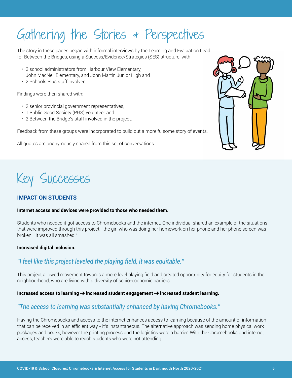# Gathering the Stories & Perspectives

The story in these pages began with informal interviews by the Learning and Evaluation Lead for Between the Bridges, using a Success/Evidence/Strategies (SES) structure, with:

- 3 school administrators from Harbour View Elementary, John MacNeil Elementary, and John Martin Junior High and
- 2 Schools Plus staff involved.

Findings were then shared with:

- 2 senior provincial government representatives,
- 1 Public Good Society (PGS) volunteer and
- 2 Between the Bridge's staff involved in the project.

Feedback from these groups were incorporated to build out a more fulsome story of events.

All quotes are anonymously shared from this set of conversations.



# Key Successes

# **IMPACT ON STUDENTS**

#### **Internet access and devices were provided to those who needed them.**

Students who needed it got access to Chromebooks and the internet. One individual shared an example of the situations that were improved through this project: "the girl who was doing her homework on her phone and her phone screen was broken… it was all smashed."

#### **Increased digital inclusion.**

# *"I feel like this project leveled the playing field, it was equitable."*

This project allowed movement towards a more level playing field and created opportunity for equity for students in the neighbourhood, who are living with a diversity of socio-economic barriers.

#### Increased access to learning  $\rightarrow$  increased student engagement  $\rightarrow$  increased student learning.

# *"The access to learning was substantially enhanced by having Chromebooks."*

Having the Chromebooks and access to the internet enhances access to learning because of the amount of information that can be received in an efficient way - it's instantaneous. The alternative approach was sending home physical work packages and books, however the printing process and the logistics were a barrier. With the Chromebooks and internet access, teachers were able to reach students who were not attending.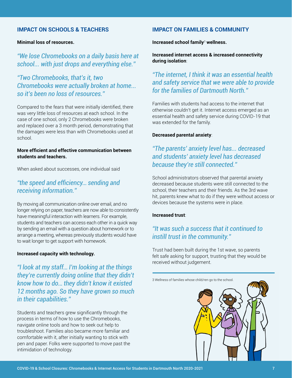#### **IMPACT ON SCHOOLS & TEACHERS**

#### **Minimal loss of resources.**

*"We lose Chromebooks on a daily basis here at school... with just drops and everything else."*

*"Two Chromebooks, that's it, two Chromebooks were actually broken at home... so it's been no loss of resources."*

Compared to the fears that were initially identified, there was very little loss of resources at each school. In the case of one school, only 2 Chromebooks were broken and replaced over a 3 month period, demonstrating that the damages were less than with Chromebooks used at school.

#### **More efficient and effective communication between students and teachers.**

When asked about successes, one individual said

# *"the speed and efficiency… sending and receiving information."*

By moving all communication online over email, and no longer relying on paper, teachers are now able to consistently have meaningful interaction with learners. For example, students and teachers can access each other in a quick way by sending an email with a question about homework or to arrange a meeting, whereas previously students would have to wait longer to get support with homework.

#### **Increased capacity with technology.**

*"I look at my staff… I'm looking at the things they're currently doing online that they didn't know how to do… they didn't know it existed 12 months ago. So they have grown so much in their capabilities."*

Students and teachers grew significantly through the process in terms of how to use the Chromebooks, navigate online tools and how to seek out help to troubleshoot. Families also became more familiar and comfortable with it, after initially wanting to stick with pen and paper. Folks were supported to move past the intimidation of technology.

#### **IMPACT ON FAMILIES & COMMUNITY**

**Increased school family**<sup>3</sup>  **wellness.**

**Increased internet access & increased connectivity during isolation**:

# *"The internet, I think it was an essential health and safety service that we were able to provide for the families of Dartmouth North."*

Families with students had access to the internet that otherwise couldn't get it. Internet access emerged as an essential health and safety service during COVID-19 that was extended for the family.

#### **Decreased parental anxiety**:

# *"The parents' anxiety level has... decreased and students' anxiety level has decreased because they're still connected."*

School administrators observed that parental anxiety decreased because students were still connected to the school, their teachers and their friends. As the 3rd wave hit, parents knew what to do if they were without access or devices because the systems were in place.

#### **Increased trust**:

# *"It was such a success that it continued to instill trust in the community."*

Trust had been built during the 1st wave, so parents felt safe asking for support, trusting that they would be received without judgement.

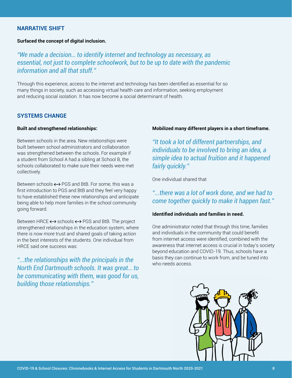#### **NARRATIVE SHIFT**

#### **Surfaced the concept of digital inclusion.**

# *"We made a decision… to identify internet and technology as necessary, as essential, not just to complete schoolwork, but to be up to date with the pandemic information and all that stuff."*

Through this experience, access to the internet and technology has been identified as essential for so many things in society, such as accessing virtual health care and information, seeking employment and reducing social isolation. It has now become a social determinant of health.

#### **SYSTEMS CHANGE**

#### **Built and strengthened relationships:**

Between schools in the area. New relationships were built between school administrators and collaboration was strengthened between the schools. For example if a student from School A had a sibling at School B, the schools collaborated to make sure their needs were met collectively.

Between schools  $\leftrightarrow$  PGS and BtB. For some, this was a first introduction to PGS and BtB and they feel very happy to have established these new relationships and anticipate being able to help more families in the school community going forward.

Between HRCE  $\leftrightarrow$  schools  $\leftrightarrow$  PGS and BtB. The project strengthened relationships in the education system, where there is now more trust and shared goals of taking action in the best interests of the students. One individual from HRCE said one success was:

*"...the relationships with the principals in the North End Dartmouth schools. It was great… to be communicating with them, was good for us, building those relationships."*

#### **Mobilized many different players in a short timeframe.**

*"It took a lot of different partnerships, and individuals to be involved to bring an idea, a simple idea to actual fruition and it happened fairly quickly."*

One individual shared that

# *"...there was a lot of work done, and we had to come together quickly to make it happen fast."*

#### **Identified individuals and families in need.**

One administrator noted that through this time, families and individuals in the community that could benefit from internet access were identified, combined with the awareness that internet access is crucial in today's society beyond education and COVID-19. Thus, schools have a basis they can continue to work from, and be tuned into who needs access.

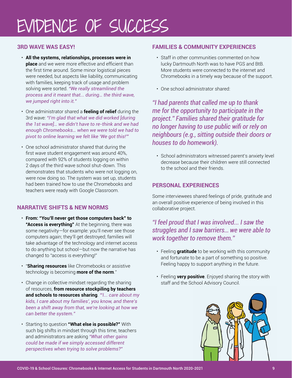# <span id="page-8-0"></span>EVIDENCE OF SUCCESS

# **3RD WAVE WAS EASY!**

- **All the systems, relationships, processes were in place** and we were more effective and efficient than the first time around. Some minor logistical pieces were needed, but aspects like liability, communicating with families, keeping track of usage and problem solving were sorted. *"We really streamlined the process and it meant that... during… the third wave, we jumped right into it."*
- One administrator shared a **feeling of relief** during the 3rd wave: *"I'm glad that what we did worked [during the 1st wave]… we didn't have to re-think and we had enough Chromebooks… when we were told we had to pivot to online learning we felt like 'We got this!'"*
- One school administrator shared that during the first wave student engagement was around 40%, compared with 92% of students logging on within 2 days of the third wave school shut-down. This demonstrates that students who were not logging on, were now doing so. The system was set up, students had been trained how to use the Chromebooks and teachers were ready with Google Classroom.

## **NARRATIVE SHIFTS & NEW NORMS**

- **From: "You'll never get those computers back" to "Access is everything"** At the beginning, there was some negativity—for example: you'll never see those computers again; they'll get destroyed; families will take advantage of the technology and internet access to do anything but school—but now the narrative has changed to "access is everything!"
- "**Sharing resources** like Chromebooks or assistive technology is becoming **more of the norm**."
- Change in collective mindset regarding the sharing of resources, **from resource stockpiling by teachers and schools to resources sharing**. *"'I... care about my kids, I care about my families', you know, and there's been a shift away from that, we're looking at how we can better the system."*
- Starting to question **"What else is possible?"** With such big shifts in mindset through this time, teachers and administrators are asking *"What other gains could be made if we simply accessed different perspectives when trying to solve problems?"*

### **FAMILIES & COMMUNITY EXPERIENCES**

- Staff in other communities commented on how lucky Dartmouth North was to have PGS and BtB. More students were connected to the internet and Chromebooks in a timely way because of the support.
- One school administrator shared:

*"I had parents that called me up to thank me for the opportunity to participate in the project." Families shared their gratitude for no longer having to use public wifi or rely on neighbours (e.g., sitting outside their doors or houses to do homework).*

• School administrators witnessed parent's anxiety level decrease because their children were still connected to the school and their friends.

### **PERSONAL EXPERIENCES**

Some interviewees shared feelings of pride, gratitude and an overall positive experience of being involved in this collaborative project.

# *"I feel proud that I was involved... I saw the struggles and I saw barriers… we were able to work together to remove them."*

- Feeling **gratitude** to be working with this community and fortunate to be a part of something so positive. Feeling happy to support anything in the future.
- Feeling **very positive**. Enjoyed sharing the story with staff and the School Advisory Council.

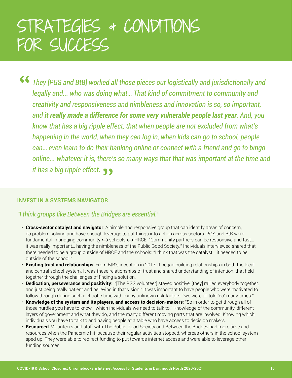# <span id="page-9-0"></span>STRATEGIES & CONDITIONS FOR SUCCESS

*They [PGS and BtB] worked all those pieces out logistically and jurisdictionally and legally and... who was doing what… That kind of commitment to community and creativity and responsiveness and nimbleness and innovation is so, so important, and it really made a difference for some very vulnerable people last year. And, you know that has a big ripple effect, that when people are not excluded from what's happening in the world, when they can log in, when kids can go to school, people can… even learn to do their banking online or connect with a friend and go to bingo online... whatever it is, there's so many ways that that was important at the time and it has a big ripple effect.*

#### **INVEST IN A SYSTEMS NAVIGATOR**

*"I think groups like Between the Bridges are essential."*

- **Cross-sector catalyst and navigator**: A nimble and responsive group that can identify areas of concern, do problem solving and have enough leverage to put things into action across sectors. PGS and BtB were fundamental in bridging community  $\leftrightarrow$  schools  $\leftrightarrow$  HRCE. "Community partners can be responsive and fast... it was really important… having the nimbleness of the Public Good Society." Individuals interviewed shared that there needed to be a group outside of HRCE and the schools: "I think that was the catalyst… it needed to be outside of the school."
- **Existing trust and relationships**: From BtB's inception in 2017, it began building relationships in both the local and central school system. It was these relationships of trust and shared understanding of intention, that held together through the challenges of finding a solution.
- **Dedication, perseverance and positivity**: "[The PGS volunteer] stayed positive, [they] rallied everybody together, and just being really patient and believing in that vision." It was important to have people who were motivated to follow through during such a chaotic time with many unknown risk factors: "we were all told 'no' many times."
- **Knowledge of the system and its players, and access to decision-makers**: "So in order to get through all of those hurdles you have to know… which individuals we need to talk to." Knowledge of the community, different layers of government and what they do, and the many different moving parts that are involved. Knowing which individuals you have to talk to and having people at a table who have access to decision makers.
- **Resourced**: Volunteers and staff with The Public Good Society and Between the Bridges had more time and resources when the Pandemic hit, because their regular activities stopped, whereas others in the school system sped up. They were able to redirect funding to put towards internet access and were able to leverage other funding sources.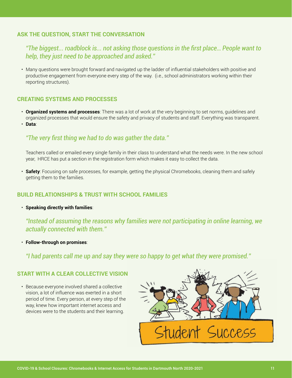## **ASK THE QUESTION, START THE CONVERSATION**

# *"The biggest... roadblock is... not asking those questions in the first place… People want to help, they just need to be approached and asked."*

• Many questions were brought forward and navigated up the ladder of influential stakeholders with positive and productive engagement from everyone every step of the way. (i.e., school administrators working within their reporting structures).

#### **CREATING SYSTEMS AND PROCESSES**

- **Organized systems and processes**: There was a lot of work at the very beginning to set norms, guidelines and organized processes that would ensure the safety and privacy of students and staff. Everything was transparent.
- **Data**:

# *"The very first thing we had to do was gather the data."*

Teachers called or emailed every single family in their class to understand what the needs were. In the new school year, HRCE has put a section in the registration form which makes it easy to collect the data.

• **Safety**: Focusing on safe processes, for example, getting the physical Chromebooks, cleaning them and safely getting them to the families.

#### **BUILD RELATIONSHIPS & TRUST WITH SCHOOL FAMILIES**

• **Speaking directly with families**:

*"Instead of assuming the reasons why families were not participating in online learning, we actually connected with them."*

• **Follow-through on promises**:

*"I had parents call me up and say they were so happy to get what they were promised."*

#### **START WITH A CLEAR COLLECTIVE VISION**

• Because everyone involved shared a collective vision, a lot of influence was exerted in a short period of time. Every person, at every step of the way, knew how important internet access and devices were to the students and their learning.

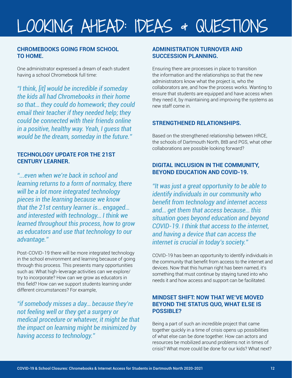# <span id="page-11-0"></span>LOOKING AHEAD: IDEAS & QUESTIONS

#### **CHROMEBOOKS GOING FROM SCHOOL TO HOME.**

One administrator expressed a dream of each student having a school Chromebook full time:

*"I think, [it] would be incredible if someday the kids all had Chromebooks in their home so that… they could do homework; they could email their teacher if they needed help; they could be connected with their friends online in a positive, healthy way. Yeah, I guess that would be the dream, someday in the future."*

### **TECHNOLOGY UPDATE FOR THE 21ST CENTURY LEARNER.**

*"...even when we're back in school and learning returns to a form of normalcy, there will be a lot more integrated technology pieces in the learning because we know that the 21st century learner is… engaged… and interested with technology… I think we learned throughout this process, how to grow as educators and use that technology to our advantage."*

Post-COVID-19 there will be more integrated technology in the school environment and learning because of going through this process. This presents many opportunities such as: What high-leverage activities can we explore/ try to incorporate? How can we grow as educators in this field? How can we support students learning under different circumstances? For example,

*"if somebody misses a day… because they're not feeling well or they get a surgery or medical procedure or whatever, it might be that the impact on learning might be minimized by having access to technology."*

### **ADMINISTRATION TURNOVER AND SUCCESSION PLANNING.**

Ensuring there are processes in place to transition the information and the relationships so that the new administrators know what the project is, who the collaborators are, and how the process works. Wanting to ensure that students are equipped and have access when they need it, by maintaining and improving the systems as new staff come in.

## **STRENGTHENED RELATIONSHIPS.**

Based on the strengthened relationship between HRCE, the schools of Dartmouth North, BtB and PGS, what other collaborations are possible looking forward?

## **DIGITAL INCLUSION IN THE COMMUNITY, BEYOND EDUCATION AND COVID-19.**

*"It was just a great opportunity to be able to identify individuals in our community who benefit from technology and internet access and… get them that access because… this situation goes beyond education and beyond COVID-19. I think that access to the internet, and having a device that can access the internet is crucial in today's society."* 

COVID-19 has been an opportunity to identify individuals in the community that benefit from access to the internet and devices. Now that this human right has been named, it's something that must continue by staying tuned into who needs it and how access and support can be facilitated.

## **MINDSET SHIFT: NOW THAT WE'VE MOVED BEYOND THE STATUS QUO, WHAT ELSE IS POSSIBLE?**

Being a part of such an incredible project that came together quickly in a time of crisis opens up possibilities of what else can be done together. How can actors and resources be mobilized around problems not in times of crisis? What more could be done for our kids? What next?